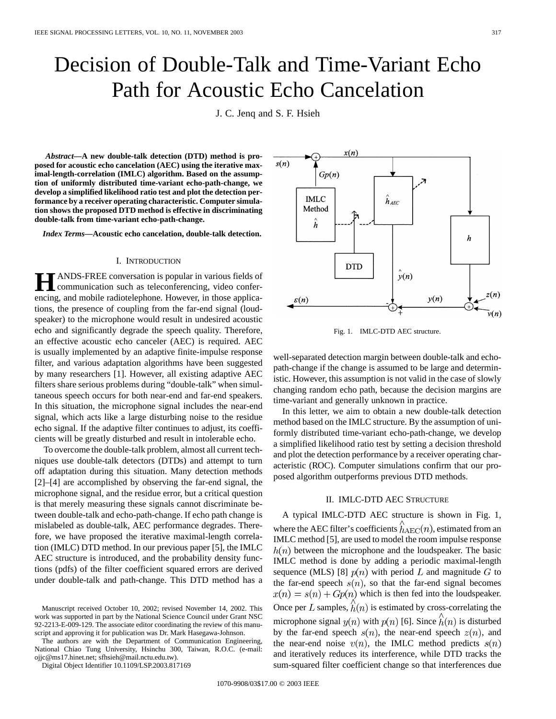# Decision of Double-Talk and Time-Variant Echo Path for Acoustic Echo Cancelation

J. C. Jenq and S. F. Hsieh

 $s(n)$ 

*Abstract—***A new double-talk detection (DTD) method is proposed for acoustic echo cancelation (AEC) using the iterative maximal-length-correlation (IMLC) algorithm. Based on the assumption of uniformly distributed time-variant echo-path-change, we develop a simplified likelihood ratio test and plot the detection performance by a receiver operating characteristic. Computer simulation shows the proposed DTD method is effective in discriminating double-talk from time-variant echo-path-change.**

*Index Terms—***Acoustic echo cancelation, double-talk detection.**

#### I. INTRODUCTION

**H**ANDS-FREE conversation is popular in various fields of communication such as teleconferencing, video conferencing, and mobile radiotelephone. However, in those applications, the presence of coupling from the far-end signal (loudspeaker) to the microphone would result in undesired acoustic echo and significantly degrade the speech quality. Therefore, an effective acoustic echo canceler (AEC) is required. AEC is usually implemented by an adaptive finite-impulse response filter, and various adaptation algorithms have been suggested by many researchers [1]. However, all existing adaptive AEC filters share serious problems during "double-talk" when simultaneous speech occurs for both near-end and far-end speakers. In this situation, the microphone signal includes the near-end signal, which acts like a large disturbing noise to the residue echo signal. If the adaptive filter continues to adjust, its coefficients will be greatly disturbed and result in intolerable echo.

To overcome the double-talk problem, almost all current techniques use double-talk detectors (DTDs) and attempt to turn off adaptation during this situation. Many detection methods [2]–[4] are accomplished by observing the far-end signal, the microphone signal, and the residue error, but a critical question is that merely measuring these signals cannot discriminate between double-talk and echo-path-change. If echo path change is mislabeled as double-talk, AEC performance degrades. Therefore, we have proposed the iterative maximal-length correlation (IMLC) DTD method. In our previous paper [5], the IMLC AEC structure is introduced, and the probability density functions (pdfs) of the filter coefficient squared errors are derived under double-talk and path-change. This DTD method has a

The authors are with the Department of Communication Engineering, National Chiao Tung University, Hsinchu 300, Taiwan, R.O.C. (e-mail: ojjc@ms17.hinet.net; sfhsieh@mail.nctu.edu.tw).

Digital Object Identifier 10.1109/LSP.2003.817169



 $x(n)$ 

 $Gp(n)$ 

well-separated detection margin between double-talk and echopath-change if the change is assumed to be large and deterministic. However, this assumption is not valid in the case of slowly changing random echo path, because the decision margins are

time-variant and generally unknown in practice. In this letter, we aim to obtain a new double-talk detection method based on the IMLC structure. By the assumption of uniformly distributed time-variant echo-path-change, we develop a simplified likelihood ratio test by setting a decision threshold and plot the detection performance by a receiver operating characteristic (ROC). Computer simulations confirm that our proposed algorithm outperforms previous DTD methods.

## II. IMLC-DTD AEC STRUCTURE

A typical IMLC-DTD AEC structure is shown in Fig. 1, where the AEC filter's coefficients  $\hat{h}_{AEC}(n)$ , estimated from an IMLC method [5], are used to model the room impulse response  $h(n)$  between the microphone and the loudspeaker. The basic IMLC method is done by adding a periodic maximal-length sequence (MLS) [8]  $p(n)$  with period L and magnitude G to the far-end speech  $s(n)$ , so that the far-end signal becomes  $x(n) = s(n) + Gp(n)$  which is then fed into the loudspeaker. Once per L samples,  $\hat{h}(n)$  is estimated by cross-correlating the microphone signal  $y(n)$  with  $p(n)$  [6]. Since  $\hat{h}(n)$  is disturbed by the far-end speech  $s(n)$ , the near-end speech  $z(n)$ , and the near-end noise  $v(n)$ , the IMLC method predicts  $s(n)$ and iteratively reduces its interference, while DTD tracks the sum-squared filter coefficient change so that interferences due

Manuscript received October 10, 2002; revised November 14, 2002. This work was supported in part by the National Science Council under Grant NSC 92-2213-E-009-129. The associate editor coordinating the review of this manuscript and approving it for publication was Dr. Mark Hasegawa-Johnson.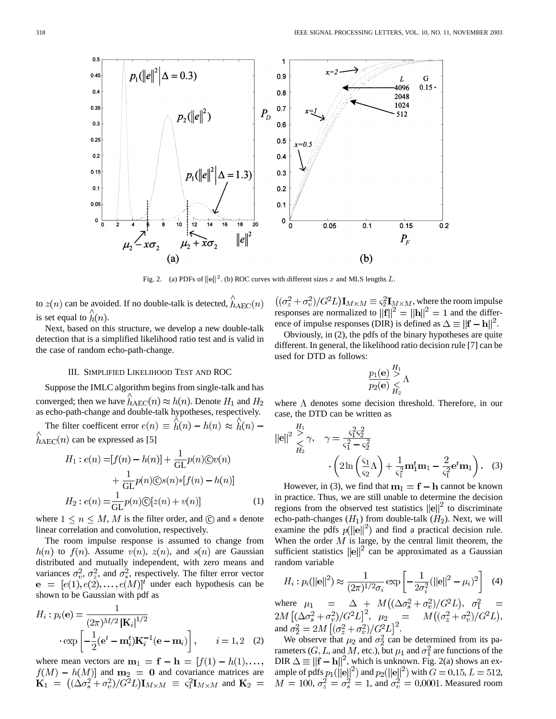

Fig. 2. (a) PDFs of  $||e||^2$ . (b) ROC curves with different sizes x and MLS lengths L.

to  $z(n)$  can be avoided. If no double-talk is detected,  $\hat{h}_{AEC}(n)$ is set equal to  $\hat{h}(n)$ .

Next, based on this structure, we develop a new double-talk detection that is a simplified likelihood ratio test and is valid in the case of random echo-path-change.

#### III. SIMPLIFIED LIKELIHOOD TEST AND ROC

Suppose the IMLC algorithm begins from single-talk and has converged; then we have  $h_{AEC}(n) \approx h(n)$ . Denote  $H_1$  and as echo-path-change and double-talk hypotheses, respectively.

The filter coefficent error  $e(n) \equiv \hat{h}(n) - h(n) \approx \hat{h}(n)$  $\hat{h}_{\text{AEC}}(n)$  can be expressed as [5]

$$
H_1: e(n) = [f(n) - h(n)] + \frac{1}{GL}p(n) \mathbb{C}v(n)
$$

$$
+ \frac{1}{GL}p(n) \mathbb{C}s(n) * [f(n) - h(n)]
$$

$$
H_2: e(n) = \frac{1}{GL}p(n) \mathbb{C}[z(n) + v(n)] \tag{1}
$$

where  $1 \le n \le M$ , M is the filter order, and  $\odot$  and  $*$  denote linear correlation and convolution, respectively.

The room impulse response is assumed to change from  $h(n)$  to  $f(n)$ . Assume  $v(n)$ ,  $z(n)$ , and  $s(n)$  are Gaussian distributed and mutually independent, with zero means and variances  $\sigma_v^2$ ,  $\sigma_z^2$ , and  $\sigma_s^2$ , respectively. The filter error vector  $e = [e(1), e(2), \dots, e(M)]^t$  under each hypothesis can be shown to be Gaussian with pdf as

$$
H_i: p_i(\mathbf{e}) = \frac{1}{(2\pi)^{M/2} |\mathbf{K}_i|^{1/2}}
$$

$$
\cdot \exp\left[-\frac{1}{2}(\mathbf{e}^t - \mathbf{m}_i^t)\mathbf{K}_i^{-1}(\mathbf{e} - \mathbf{m}_i)\right], \qquad i = 1, 2 \quad (2)
$$

where mean vectors are  $m_1 = f - h = [f(1) - h(1), \dots,$ and  $m_2 = 0$  and covariance matrices are and

 $((\sigma_z^2 + \sigma_v^2)/G^2L)\mathbf{I}_{M \times M} \equiv \varsigma_2^2\mathbf{I}_{M \times M}$ , where the room impulse responses are normalized to  $\|\mathbf{f}\|^2 = \|\mathbf{h}\|^2 = 1$  and the difference of impulse responses (DIR) is defined as  $\Delta \equiv ||\mathbf{f} - \mathbf{h}||^2$ .

Obviously, in (2), the pdfs of the binary hypotheses are quite different. In general, the likelihood ratio decision rule [7] can be used for DTD as follows:

$$
\frac{p_1(\mathbf{e})}{p_2(\mathbf{e})} \mathop{<}\limits_{H_2}^{H_1} \Lambda
$$

where  $\Lambda$  denotes some decision threshold. Therefore, in our case, the DTD can be written as

$$
\|\mathbf{e}\|^2 \overset{H_1}{\underset{H_2}{\geq}} \gamma, \quad \gamma = \frac{\varsigma_1^2 \varsigma_2^2}{\varsigma_1^2 - \varsigma_2^2} \cdot \left(2\ln\left(\frac{\varsigma_1}{\varsigma_2}\Lambda\right) + \frac{1}{\varsigma_1^2} \mathbf{m}_1^t \mathbf{m}_1 - \frac{2}{\varsigma_1^2} \mathbf{e}^t \mathbf{m}_1\right). \quad (3)
$$

However, in (3), we find that  $m_1 = f - h$  cannot be known in practice. Thus, we are still unable to determine the decision regions from the observed test statistics  $||e||^2$  to discriminate echo-path-changes  $(H_1)$  from double-talk  $(H_2)$ . Next, we will examine the pdfs  $p(||e||^2)$  and find a practical decision rule. When the order  $M$  is large, by the central limit theorem, the sufficient statistics  $\|\mathbf{e}\|^2$  can be approximated as a Gaussian random variable

$$
H_i: p_i(||\mathbf{e}||^2) \approx \frac{1}{(2\pi)^{1/2}\sigma_i} \exp\left[-\frac{1}{2\sigma_i^2} (||\mathbf{e}||^2 - \mu_i)^2\right] \quad (4)
$$

where  $\mu_1 = \Delta + M((\Delta \sigma_s^2 + \sigma_v^2)/G^2L),$  $, \mu_2 = M((\sigma_z^2 + \sigma_v^2)/G^2L),$ and  $\sigma_2^2 = 2M [(\sigma_z^2 + \sigma_v^2)/G^2L]^2$ .

We observe that  $\mu_2$  and  $\sigma_2^2$  can be determined from its parameters  $(G, L, \text{ and } M, \text{ etc.})$ , but  $\mu_1$  and  $\sigma_1^2$  are functions of the DIR  $\Delta \equiv ||\mathbf{f} - \mathbf{h}||^2$ , which is unknown. Fig. 2(a) shows an example of pdfs  $p_1(||{\bf e}||^2)$  and  $p_2(||{\bf e}||^2)$  with  $G = 0.15$ ,  $L = 512$ ,  $M = 100, \sigma_z^2 = \sigma_s^2 = 1$ , and  $\sigma_v^2 = 0.0001$ . Measured room